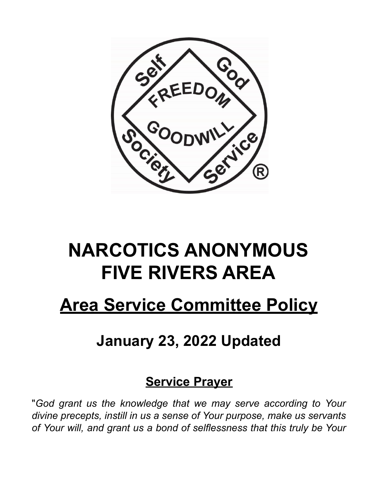

# **NARCOTICS ANONYMOUS FIVE RIVERS AREA**

## **Area Service Committee Policy**

## **January 23, 2022 Updated**

### **Service Prayer**

"*God grant us the knowledge that we may serve according to Your divine precepts, instill in us a sense of Your purpose, make us servants of Your will, and grant us a bond of selflessness that this truly be Your*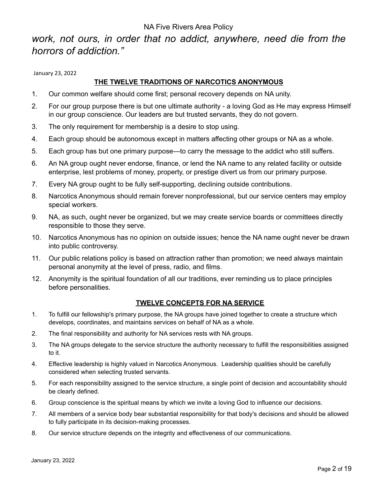#### *work, not ours, in order that no addict, anywhere, need die from the horrors of addiction."*

January 23, 2022

#### **THE TWELVE TRADITIONS OF NARCOTICS ANONYMOUS**

- 1. Our common welfare should come first; personal recovery depends on NA unity.
- 2. For our group purpose there is but one ultimate authority a loving God as He may express Himself in our group conscience. Our leaders are but trusted servants, they do not govern.
- 3. The only requirement for membership is a desire to stop using.
- 4. Each group should be autonomous except in matters affecting other groups or NA as a whole.
- 5. Each group has but one primary purpose—to carry the message to the addict who still suffers.
- 6. An NA group ought never endorse, finance, or lend the NA name to any related facility or outside enterprise, lest problems of money, property, or prestige divert us from our primary purpose.
- 7. Every NA group ought to be fully self-supporting, declining outside contributions.
- 8. Narcotics Anonymous should remain forever nonprofessional, but our service centers may employ special workers.
- 9. NA, as such, ought never be organized, but we may create service boards or committees directly responsible to those they serve.
- 10. Narcotics Anonymous has no opinion on outside issues; hence the NA name ought never be drawn into public controversy.
- 11. Our public relations policy is based on attraction rather than promotion; we need always maintain personal anonymity at the level of press, radio, and films.
- 12. Anonymity is the spiritual foundation of all our traditions, ever reminding us to place principles before personalities.

#### **TWELVE CONCEPTS FOR NA SERVICE**

- 1. To fulfill our fellowship's primary purpose, the NA groups have joined together to create a structure which develops, coordinates, and maintains services on behalf of NA as a whole.
- 2. The final responsibility and authority for NA services rests with NA groups.
- 3. The NA groups delegate to the service structure the authority necessary to fulfill the responsibilities assigned to it.
- 4. Effective leadership is highly valued in Narcotics Anonymous. Leadership qualities should be carefully considered when selecting trusted servants.
- 5. For each responsibility assigned to the service structure, a single point of decision and accountability should be clearly defined.
- 6. Group conscience is the spiritual means by which we invite a loving God to influence our decisions.
- 7. All members of a service body bear substantial responsibility for that body's decisions and should be allowed to fully participate in its decision-making processes.
- 8. Our service structure depends on the integrity and effectiveness of our communications.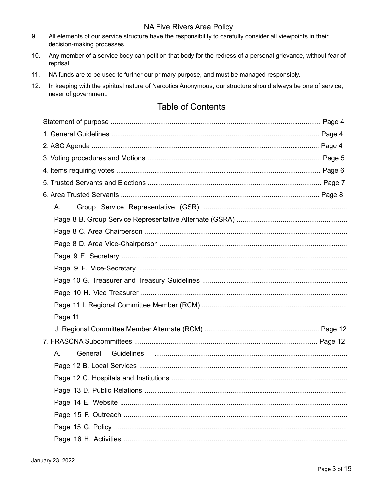- 9. All elements of our service structure have the responsibility to carefully consider all viewpoints in their decision-making processes.
- $10.$ Any member of a service body can petition that body for the redress of a personal grievance, without fear of reprisal.
- $11.$ NA funds are to be used to further our primary purpose, and must be managed responsibly.
- $12.$ In keeping with the spiritual nature of Narcotics Anonymous, our structure should always be one of service, never of government.

#### **Table of Contents**

| А.            |  |  |
|---------------|--|--|
|               |  |  |
|               |  |  |
|               |  |  |
|               |  |  |
|               |  |  |
|               |  |  |
|               |  |  |
|               |  |  |
| Page 11       |  |  |
|               |  |  |
|               |  |  |
| General<br>А. |  |  |
|               |  |  |
|               |  |  |
|               |  |  |
|               |  |  |
|               |  |  |
|               |  |  |
|               |  |  |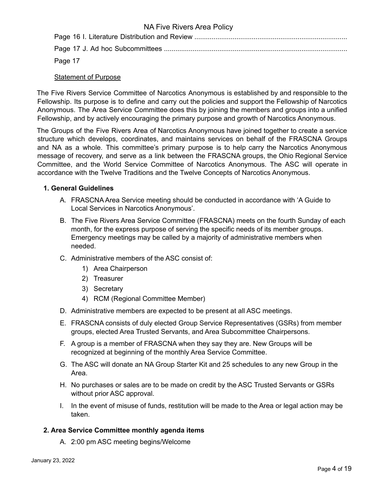Page 17

#### Statement of Purpose

The Five Rivers Service Committee of Narcotics Anonymous is established by and responsible to the Fellowship. Its purpose is to define and carry out the policies and support the Fellowship of Narcotics Anonymous. The Area Service Committee does this by joining the members and groups into a unified Fellowship, and by actively encouraging the primary purpose and growth of Narcotics Anonymous.

The Groups of the Five Rivers Area of Narcotics Anonymous have joined together to create a service structure which develops, coordinates, and maintains services on behalf of the FRASCNA Groups and NA as a whole. This committee's primary purpose is to help carry the Narcotics Anonymous message of recovery, and serve as a link between the FRASCNA groups, the Ohio Regional Service Committee, and the World Service Committee of Narcotics Anonymous. The ASC will operate in accordance with the Twelve Traditions and the Twelve Concepts of Narcotics Anonymous.

#### **1. General Guidelines**

- A. FRASCNA Area Service meeting should be conducted in accordance with 'A Guide to Local Services in Narcotics Anonymous'.
- B. The Five Rivers Area Service Committee (FRASCNA) meets on the fourth Sunday of each month, for the express purpose of serving the specific needs of its member groups. Emergency meetings may be called by a majority of administrative members when needed.
- C. Administrative members of the ASC consist of:
	- 1) Area Chairperson
	- 2) Treasurer
	- 3) Secretary
	- 4) RCM (Regional Committee Member)
- D. Administrative members are expected to be present at all ASC meetings.
- E. FRASCNA consists of duly elected Group Service Representatives (GSRs) from member groups, elected Area Trusted Servants, and Area Subcommittee Chairpersons.
- F. A group is a member of FRASCNA when they say they are. New Groups will be recognized at beginning of the monthly Area Service Committee.
- G. The ASC will donate an NA Group Starter Kit and 25 schedules to any new Group in the Area.
- H. No purchases or sales are to be made on credit by the ASC Trusted Servants or GSRs without prior ASC approval.
- I. In the event of misuse of funds, restitution will be made to the Area or legal action may be taken.

#### **2. Area Service Committee monthly agenda items**

A. 2:00 pm ASC meeting begins/Welcome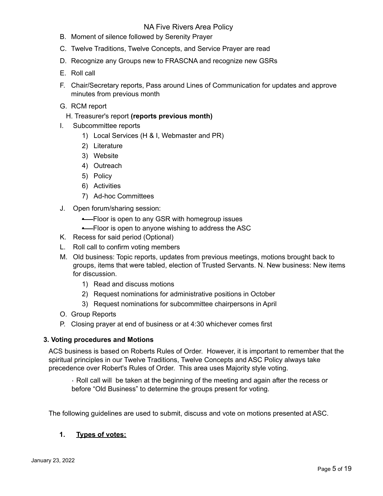- B. Moment of silence followed by Serenity Prayer
- C. Twelve Traditions, Twelve Concepts, and Service Prayer are read
- D. Recognize any Groups new to FRASCNA and recognize new GSRs
- E. Roll call
- F. Chair/Secretary reports, Pass around Lines of Communication for updates and approve minutes from previous month
- G. RCM report
	- H. Treasurer's report **(reports previous month)**
- I. Subcommittee reports
	- 1) Local Services (H & I, Webmaster and PR)
	- 2) Literature
	- 3) Website
	- 4) Outreach
	- 5) Policy
	- 6) Activities
	- 7) Ad-hoc Committees
- J. Open forum/sharing session:
	- **•** Floor is open to any GSR with homegroup issues
	- **•** Floor is open to anyone wishing to address the ASC
- K. Recess for said period (Optional)
- L. Roll call to confirm voting members
- M. Old business: Topic reports, updates from previous meetings, motions brought back to groups, items that were tabled, election of Trusted Servants. N. New business: New items for discussion.
	- 1) Read and discuss motions
	- 2) Request nominations for administrative positions in October
	- 3) Request nominations for subcommittee chairpersons in April
- O. Group Reports
- P. Closing prayer at end of business or at 4:30 whichever comes first

#### **3. Voting procedures and Motions**

ACS business is based on Roberts Rules of Order. However, it is important to remember that the spiritual principles in our Twelve Traditions, Twelve Concepts and ASC Policy always take precedence over Robert's Rules of Order. This area uses Majority style voting.

• Roll call will be taken at the beginning of the meeting and again after the recess or before "Old Business" to determine the groups present for voting.

The following guidelines are used to submit, discuss and vote on motions presented at ASC.

#### **1. Types of votes:**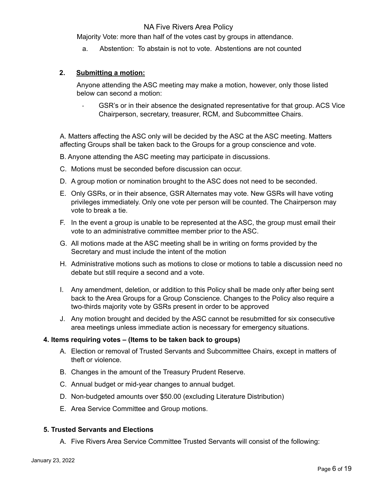Majority Vote: more than half of the votes cast by groups in attendance.

a. Abstention: To abstain is not to vote. Abstentions are not counted

#### **2. Submitting a motion:**

Anyone attending the ASC meeting may make a motion, however, only those listed below can second a motion:

• GSR's or in their absence the designated representative for that group. ACS Vice Chairperson, secretary, treasurer, RCM, and Subcommittee Chairs.

A. Matters affecting the ASC only will be decided by the ASC at the ASC meeting. Matters affecting Groups shall be taken back to the Groups for a group conscience and vote.

B. Anyone attending the ASC meeting may participate in discussions.

- C. Motions must be seconded before discussion can occur.
- D. A group motion or nomination brought to the ASC does not need to be seconded.
- E. Only GSRs, or in their absence, GSR Alternates may vote. New GSRs will have voting privileges immediately. Only one vote per person will be counted. The Chairperson may vote to break a tie.
- F. In the event a group is unable to be represented at the ASC, the group must email their vote to an administrative committee member prior to the ASC.
- G. All motions made at the ASC meeting shall be in writing on forms provided by the Secretary and must include the intent of the motion
- H. Administrative motions such as motions to close or motions to table a discussion need no debate but still require a second and a vote.
- I. Any amendment, deletion, or addition to this Policy shall be made only after being sent back to the Area Groups for a Group Conscience. Changes to the Policy also require a two-thirds majority vote by GSRs present in order to be approved
- J. Any motion brought and decided by the ASC cannot be resubmitted for six consecutive area meetings unless immediate action is necessary for emergency situations.

#### **4. Items requiring votes – (Items to be taken back to groups)**

- A. Election or removal of Trusted Servants and Subcommittee Chairs, except in matters of theft or violence.
- B. Changes in the amount of the Treasury Prudent Reserve.
- C. Annual budget or mid-year changes to annual budget.
- D. Non-budgeted amounts over \$50.00 (excluding Literature Distribution)
- E. Area Service Committee and Group motions.

#### **5. Trusted Servants and Elections**

A. Five Rivers Area Service Committee Trusted Servants will consist of the following: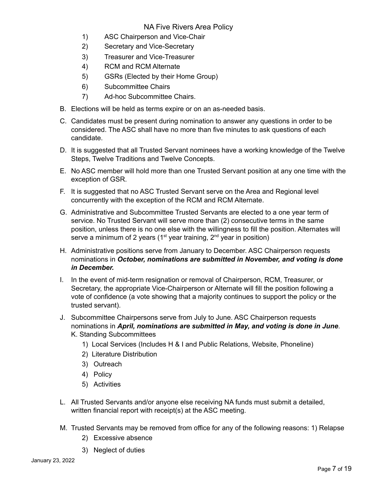- 1) ASC Chairperson and Vice-Chair
- 2) Secretary and Vice-Secretary
- 3) Treasurer and Vice-Treasurer
- 4) RCM and RCM Alternate
- 5) GSRs (Elected by their Home Group)
- 6) Subcommittee Chairs
- 7) Ad-hoc Subcommittee Chairs.
- B. Elections will be held as terms expire or on an as-needed basis.
- C. Candidates must be present during nomination to answer any questions in order to be considered. The ASC shall have no more than five minutes to ask questions of each candidate.
- D. It is suggested that all Trusted Servant nominees have a working knowledge of the Twelve Steps, Twelve Traditions and Twelve Concepts.
- E. No ASC member will hold more than one Trusted Servant position at any one time with the exception of GSR.
- F. It is suggested that no ASC Trusted Servant serve on the Area and Regional level concurrently with the exception of the RCM and RCM Alternate.
- G. Administrative and Subcommittee Trusted Servants are elected to a one year term of service. No Trusted Servant will serve more than (2) consecutive terms in the same position, unless there is no one else with the willingness to fill the position. Alternates will serve a minimum of 2 years ( $1<sup>st</sup>$  year training,  $2<sup>nd</sup>$  year in position)
- H. Administrative positions serve from January to December. ASC Chairperson requests nominations in *October, nominations are submitted in November, and voting is done in December.*
- I. In the event of mid-term resignation or removal of Chairperson, RCM, Treasurer, or Secretary, the appropriate Vice-Chairperson or Alternate will fill the position following a vote of confidence (a vote showing that a majority continues to support the policy or the trusted servant).
- J. Subcommittee Chairpersons serve from July to June. ASC Chairperson requests nominations in *April, nominations are submitted in May, and voting is done in June*. K. Standing Subcommittees
	- 1) Local Services (Includes H & I and Public Relations, Website, Phoneline)
	- 2) Literature Distribution
	- 3) Outreach
	- 4) Policy
	- 5) Activities
- L. All Trusted Servants and/or anyone else receiving NA funds must submit a detailed, written financial report with receipt(s) at the ASC meeting.
- M. Trusted Servants may be removed from office for any of the following reasons: 1) Relapse
	- 2) Excessive absence
	- 3) Neglect of duties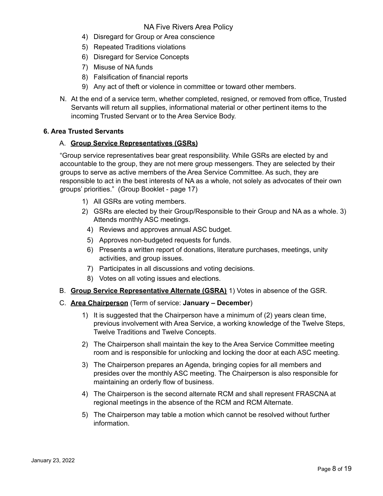- 4) Disregard for Group or Area conscience
- 5) Repeated Traditions violations
- 6) Disregard for Service Concepts
- 7) Misuse of NA funds
- 8) Falsification of financial reports
- 9) Any act of theft or violence in committee or toward other members.
- N. At the end of a service term, whether completed, resigned, or removed from office, Trusted Servants will return all supplies, informational material or other pertinent items to the incoming Trusted Servant or to the Area Service Body.

#### **6. Area Trusted Servants**

#### A. **Group Service Representatives (GSRs)**

"Group service representatives bear great responsibility. While GSRs are elected by and accountable to the group, they are not mere group messengers. They are selected by their groups to serve as active members of the Area Service Committee. As such, they are responsible to act in the best interests of NA as a whole, not solely as advocates of their own groups' priorities." (Group Booklet - page 17)

- 1) All GSRs are voting members.
- 2) GSRs are elected by their Group/Responsible to their Group and NA as a whole. 3) Attends monthly ASC meetings.
	- 4) Reviews and approves annual ASC budget.
	- 5) Approves non-budgeted requests for funds.
	- 6) Presents a written report of donations, literature purchases, meetings, unity activities, and group issues.
	- 7) Participates in all discussions and voting decisions.
	- 8) Votes on all voting issues and elections.
- B. **Group Service Representative Alternate (GSRA)** 1) Votes in absence of the GSR.
- C. **Area Chairperson** (Term of service: **January – December**)
	- 1) It is suggested that the Chairperson have a minimum of (2) years clean time, previous involvement with Area Service, a working knowledge of the Twelve Steps, Twelve Traditions and Twelve Concepts.
	- 2) The Chairperson shall maintain the key to the Area Service Committee meeting room and is responsible for unlocking and locking the door at each ASC meeting.
	- 3) The Chairperson prepares an Agenda, bringing copies for all members and presides over the monthly ASC meeting. The Chairperson is also responsible for maintaining an orderly flow of business.
	- 4) The Chairperson is the second alternate RCM and shall represent FRASCNA at regional meetings in the absence of the RCM and RCM Alternate.
	- 5) The Chairperson may table a motion which cannot be resolved without further information.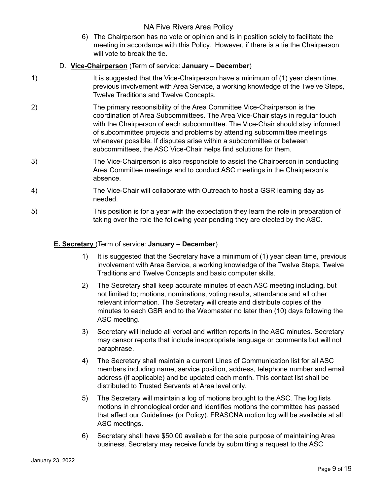6) The Chairperson has no vote or opinion and is in position solely to facilitate the meeting in accordance with this Policy. However, if there is a tie the Chairperson will vote to break the tie.

#### D. **Vice-Chairperson** (Term of service: **January – December**)

- 1) It is suggested that the Vice-Chairperson have a minimum of (1) year clean time, previous involvement with Area Service, a working knowledge of the Twelve Steps, Twelve Traditions and Twelve Concepts.
- 2) The primary responsibility of the Area Committee Vice-Chairperson is the coordination of Area Subcommittees. The Area Vice-Chair stays in regular touch with the Chairperson of each subcommittee. The Vice-Chair should stay informed of subcommittee projects and problems by attending subcommittee meetings whenever possible. If disputes arise within a subcommittee or between subcommittees, the ASC Vice-Chair helps find solutions for them.
- 3) The Vice-Chairperson is also responsible to assist the Chairperson in conducting Area Committee meetings and to conduct ASC meetings in the Chairperson's absence.
- 4) The Vice-Chair will collaborate with Outreach to host a GSR learning day as needed.
- 5) This position is for a year with the expectation they learn the role in preparation of taking over the role the following year pending they are elected by the ASC.

#### **E. Secretary** (Term of service: **January – December**)

- 1) It is suggested that the Secretary have a minimum of (1) year clean time, previous involvement with Area Service, a working knowledge of the Twelve Steps, Twelve Traditions and Twelve Concepts and basic computer skills.
- 2) The Secretary shall keep accurate minutes of each ASC meeting including, but not limited to; motions, nominations, voting results, attendance and all other relevant information. The Secretary will create and distribute copies of the minutes to each GSR and to the Webmaster no later than (10) days following the ASC meeting.
- 3) Secretary will include all verbal and written reports in the ASC minutes. Secretary may censor reports that include inappropriate language or comments but will not paraphrase.
- 4) The Secretary shall maintain a current Lines of Communication list for all ASC members including name, service position, address, telephone number and email address (if applicable) and be updated each month. This contact list shall be distributed to Trusted Servants at Area level only.
- 5) The Secretary will maintain a log of motions brought to the ASC. The log lists motions in chronological order and identifies motions the committee has passed that affect our Guidelines (or Policy). FRASCNA motion log will be available at all ASC meetings.
- 6) Secretary shall have \$50.00 available for the sole purpose of maintaining Area business. Secretary may receive funds by submitting a request to the ASC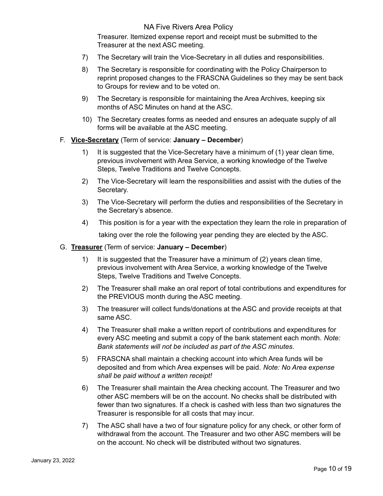Treasurer. Itemized expense report and receipt must be submitted to the Treasurer at the next ASC meeting.

- 7) The Secretary will train the Vice-Secretary in all duties and responsibilities.
- 8) The Secretary is responsible for coordinating with the Policy Chairperson to reprint proposed changes to the FRASCNA Guidelines so they may be sent back to Groups for review and to be voted on.
- 9) The Secretary is responsible for maintaining the Area Archives, keeping six months of ASC Minutes on hand at the ASC.
- 10) The Secretary creates forms as needed and ensures an adequate supply of all forms will be available at the ASC meeting.

#### F. **Vice-Secretary** (Term of service: **January – December**)

- 1) It is suggested that the Vice-Secretary have a minimum of (1) year clean time, previous involvement with Area Service, a working knowledge of the Twelve Steps, Twelve Traditions and Twelve Concepts.
- 2) The Vice-Secretary will learn the responsibilities and assist with the duties of the Secretary.
- 3) The Vice-Secretary will perform the duties and responsibilities of the Secretary in the Secretary's absence.
- 4) This position is for a year with the expectation they learn the role in preparation of taking over the role the following year pending they are elected by the ASC.

#### G. **Treasurer** (Term of service: **January – December**)

- 1) It is suggested that the Treasurer have a minimum of (2) years clean time, previous involvement with Area Service, a working knowledge of the Twelve Steps, Twelve Traditions and Twelve Concepts.
- 2) The Treasurer shall make an oral report of total contributions and expenditures for the PREVIOUS month during the ASC meeting.
- 3) The treasurer will collect funds/donations at the ASC and provide receipts at that same ASC.
- 4) The Treasurer shall make a written report of contributions and expenditures for every ASC meeting and submit a copy of the bank statement each month. *Note: Bank statements will not be included as part of the ASC minutes.*
- 5) FRASCNA shall maintain a checking account into which Area funds will be deposited and from which Area expenses will be paid. *Note: No Area expense shall be paid without a written receipt!*
- 6) The Treasurer shall maintain the Area checking account. The Treasurer and two other ASC members will be on the account. No checks shall be distributed with fewer than two signatures. If a check is cashed with less than two signatures the Treasurer is responsible for all costs that may incur.
- 7) The ASC shall have a two of four signature policy for any check, or other form of withdrawal from the account. The Treasurer and two other ASC members will be on the account. No check will be distributed without two signatures.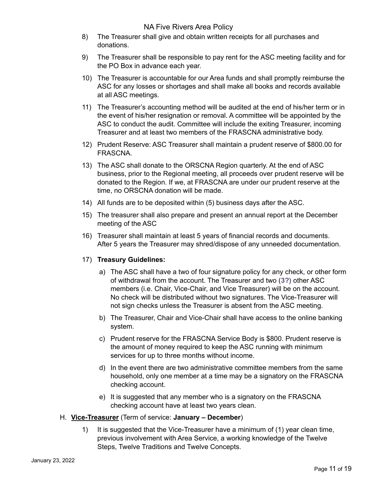- 8) The Treasurer shall give and obtain written receipts for all purchases and donations.
- 9) The Treasurer shall be responsible to pay rent for the ASC meeting facility and for the PO Box in advance each year.
- 10) The Treasurer is accountable for our Area funds and shall promptly reimburse the ASC for any losses or shortages and shall make all books and records available at all ASC meetings.
- 11) The Treasurer's accounting method will be audited at the end of his/her term or in the event of his/her resignation or removal. A committee will be appointed by the ASC to conduct the audit. Committee will include the exiting Treasurer, incoming Treasurer and at least two members of the FRASCNA administrative body.
- 12) Prudent Reserve: ASC Treasurer shall maintain a prudent reserve of \$800.00 for FRASCNA.
- 13) The ASC shall donate to the ORSCNA Region quarterly. At the end of ASC business, prior to the Regional meeting, all proceeds over prudent reserve will be donated to the Region. If we, at FRASCNA are under our prudent reserve at the time, no ORSCNA donation will be made.
- 14) All funds are to be deposited within (5) business days after the ASC.
- 15) The treasurer shall also prepare and present an annual report at the December meeting of the ASC
- 16) Treasurer shall maintain at least 5 years of financial records and documents. After 5 years the Treasurer may shred/dispose of any unneeded documentation.

#### 17) **Treasury Guidelines:**

- a) The ASC shall have a two of four signature policy for any check, or other form of withdrawal from the account. The Treasurer and two (**3?)** other ASC members (i.e. Chair, Vice-Chair, and Vice Treasurer) will be on the account. No check will be distributed without two signatures. The Vice-Treasurer will not sign checks unless the Treasurer is absent from the ASC meeting.
- b) The Treasurer, Chair and Vice-Chair shall have access to the online banking system.
- c) Prudent reserve for the FRASCNA Service Body is \$800. Prudent reserve is the amount of money required to keep the ASC running with minimum services for up to three months without income.
- d) In the event there are two administrative committee members from the same household, only one member at a time may be a signatory on the FRASCNA checking account.
- e) It is suggested that any member who is a signatory on the FRASCNA checking account have at least two years clean.

#### H. **Vice-Treasurer** (Term of service: **January – December**)

1) It is suggested that the Vice-Treasurer have a minimum of (1) year clean time, previous involvement with Area Service, a working knowledge of the Twelve Steps, Twelve Traditions and Twelve Concepts.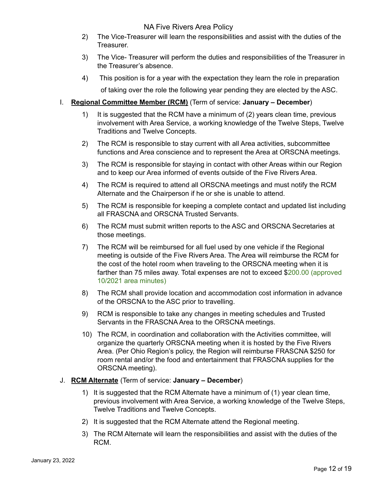- 2) The Vice-Treasurer will learn the responsibilities and assist with the duties of the Treasurer.
- 3) The Vice- Treasurer will perform the duties and responsibilities of the Treasurer in the Treasurer's absence.
- 4) This position is for a year with the expectation they learn the role in preparation of taking over the role the following year pending they are elected by the ASC.

#### I. **Regional Committee Member (RCM)** (Term of service: **January – December**)

- 1) It is suggested that the RCM have a minimum of (2) years clean time, previous involvement with Area Service, a working knowledge of the Twelve Steps, Twelve Traditions and Twelve Concepts.
- 2) The RCM is responsible to stay current with all Area activities, subcommittee functions and Area conscience and to represent the Area at ORSCNA meetings.
- 3) The RCM is responsible for staying in contact with other Areas within our Region and to keep our Area informed of events outside of the Five Rivers Area.
- 4) The RCM is required to attend all ORSCNA meetings and must notify the RCM Alternate and the Chairperson if he or she is unable to attend.
- 5) The RCM is responsible for keeping a complete contact and updated list including all FRASCNA and ORSCNA Trusted Servants.
- 6) The RCM must submit written reports to the ASC and ORSCNA Secretaries at those meetings.
- 7) The RCM will be reimbursed for all fuel used by one vehicle if the Regional meeting is outside of the Five Rivers Area. The Area will reimburse the RCM for the cost of the hotel room when traveling to the ORSCNA meeting when it is farther than 75 miles away. Total expenses are not to exceed \$200.00 (approved 10/2021 area minutes)
- 8) The RCM shall provide location and accommodation cost information in advance of the ORSCNA to the ASC prior to travelling.
- 9) RCM is responsible to take any changes in meeting schedules and Trusted Servants in the FRASCNA Area to the ORSCNA meetings.
- 10) The RCM, in coordination and collaboration with the Activities committee, will organize the quarterly ORSCNA meeting when it is hosted by the Five Rivers Area. (Per Ohio Region's policy, the Region will reimburse FRASCNA \$250 for room rental and/or the food and entertainment that FRASCNA supplies for the ORSCNA meeting).

#### J. **RCM Alternate** (Term of service: **January – December**)

- 1) It is suggested that the RCM Alternate have a minimum of (1) year clean time, previous involvement with Area Service, a working knowledge of the Twelve Steps, Twelve Traditions and Twelve Concepts.
- 2) It is suggested that the RCM Alternate attend the Regional meeting.
- 3) The RCM Alternate will learn the responsibilities and assist with the duties of the RCM.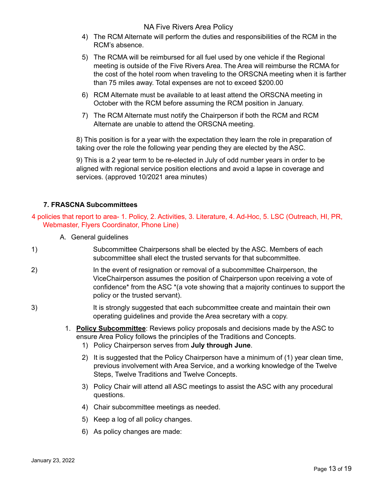- 4) The RCM Alternate will perform the duties and responsibilities of the RCM in the RCM's absence.
- 5) The RCMA will be reimbursed for all fuel used by one vehicle if the Regional meeting is outside of the Five Rivers Area. The Area will reimburse the RCMA for the cost of the hotel room when traveling to the ORSCNA meeting when it is farther than 75 miles away. Total expenses are not to exceed \$200.00
- 6) RCM Alternate must be available to at least attend the ORSCNA meeting in October with the RCM before assuming the RCM position in January.
- 7) The RCM Alternate must notify the Chairperson if both the RCM and RCM Alternate are unable to attend the ORSCNA meeting.

8) This position is for a year with the expectation they learn the role in preparation of taking over the role the following year pending they are elected by the ASC.

9) This is a 2 year term to be re-elected in July of odd number years in order to be aligned with regional service position elections and avoid a lapse in coverage and services. (approved 10/2021 area minutes)

#### **7. FRASCNA Subcommittees**

- 4 policies that report to area- 1. Policy, 2. Activities, 3. Literature, 4. Ad-Hoc, 5. LSC (Outreach, HI, PR, Webmaster, Flyers Coordinator, Phone Line)
	- A. General guidelines
- 1) Subcommittee Chairpersons shall be elected by the ASC. Members of each subcommittee shall elect the trusted servants for that subcommittee.
- 2) In the event of resignation or removal of a subcommittee Chairperson, the ViceChairperson assumes the position of Chairperson upon receiving a vote of confidence\* from the ASC \*(a vote showing that a majority continues to support the policy or the trusted servant).
- 3) It is strongly suggested that each subcommittee create and maintain their own operating guidelines and provide the Area secretary with a copy.
	- 1. **Policy Subcommittee**: Reviews policy proposals and decisions made by the ASC to ensure Area Policy follows the principles of the Traditions and Concepts.
		- 1) Policy Chairperson serves from **July through June**.
		- 2) It is suggested that the Policy Chairperson have a minimum of (1) year clean time, previous involvement with Area Service, and a working knowledge of the Twelve Steps, Twelve Traditions and Twelve Concepts.
		- 3) Policy Chair will attend all ASC meetings to assist the ASC with any procedural questions.
		- 4) Chair subcommittee meetings as needed.
		- 5) Keep a log of all policy changes.
		- 6) As policy changes are made: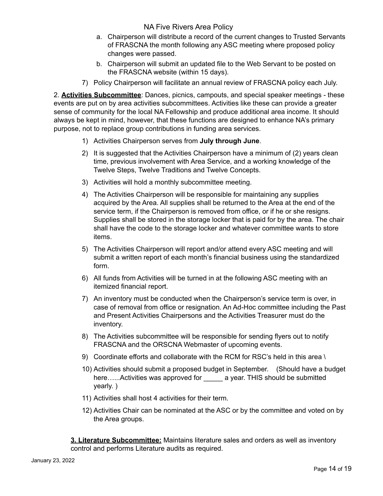- a. Chairperson will distribute a record of the current changes to Trusted Servants of FRASCNA the month following any ASC meeting where proposed policy changes were passed.
- b. Chairperson will submit an updated file to the Web Servant to be posted on the FRASCNA website (within 15 days).
- 7) Policy Chairperson will facilitate an annual review of FRASCNA policy each July.

2. **Activities Subcommittee**: Dances, picnics, campouts, and special speaker meetings - these events are put on by area activities subcommittees. Activities like these can provide a greater sense of community for the local NA Fellowship and produce additional area income. It should always be kept in mind, however, that these functions are designed to enhance NA's primary purpose, not to replace group contributions in funding area services.

- 1) Activities Chairperson serves from **July through June**.
- 2) It is suggested that the Activities Chairperson have a minimum of (2) years clean time, previous involvement with Area Service, and a working knowledge of the Twelve Steps, Twelve Traditions and Twelve Concepts.
- 3) Activities will hold a monthly subcommittee meeting.
- 4) The Activities Chairperson will be responsible for maintaining any supplies acquired by the Area. All supplies shall be returned to the Area at the end of the service term, if the Chairperson is removed from office, or if he or she resigns. Supplies shall be stored in the storage locker that is paid for by the area. The chair shall have the code to the storage locker and whatever committee wants to store items.
- 5) The Activities Chairperson will report and/or attend every ASC meeting and will submit a written report of each month's financial business using the standardized form.
- 6) All funds from Activities will be turned in at the following ASC meeting with an itemized financial report.
- 7) An inventory must be conducted when the Chairperson's service term is over, in case of removal from office or resignation. An Ad-Hoc committee including the Past and Present Activities Chairpersons and the Activities Treasurer must do the inventory.
- 8) The Activities subcommittee will be responsible for sending flyers out to notify FRASCNA and the ORSCNA Webmaster of upcoming events.
- 9) Coordinate efforts and collaborate with the RCM for RSC's held in this area \
- 10) Activities should submit a proposed budget in September. (Should have a budget here......Activities was approved for **a** year. THIS should be submitted yearly. )
- 11) Activities shall host 4 activities for their term.
- 12) Activities Chair can be nominated at the ASC or by the committee and voted on by the Area groups.

**3. Literature Subcommittee:** Maintains literature sales and orders as well as inventory control and performs Literature audits as required.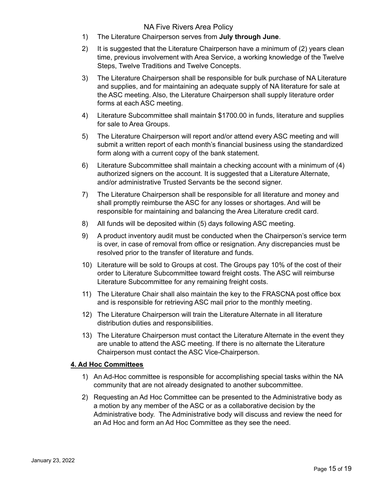- 1) The Literature Chairperson serves from **July through June**.
- 2) It is suggested that the Literature Chairperson have a minimum of (2) years clean time, previous involvement with Area Service, a working knowledge of the Twelve Steps, Twelve Traditions and Twelve Concepts.
- 3) The Literature Chairperson shall be responsible for bulk purchase of NA Literature and supplies, and for maintaining an adequate supply of NA literature for sale at the ASC meeting. Also, the Literature Chairperson shall supply literature order forms at each ASC meeting.
- 4) Literature Subcommittee shall maintain \$1700.00 in funds, literature and supplies for sale to Area Groups.
- 5) The Literature Chairperson will report and/or attend every ASC meeting and will submit a written report of each month's financial business using the standardized form along with a current copy of the bank statement.
- 6) Literature Subcommittee shall maintain a checking account with a minimum of (4) authorized signers on the account. It is suggested that a Literature Alternate, and/or administrative Trusted Servants be the second signer.
- 7) The Literature Chairperson shall be responsible for all literature and money and shall promptly reimburse the ASC for any losses or shortages. And will be responsible for maintaining and balancing the Area Literature credit card.
- 8) All funds will be deposited within (5) days following ASC meeting.
- 9) A product inventory audit must be conducted when the Chairperson's service term is over, in case of removal from office or resignation. Any discrepancies must be resolved prior to the transfer of literature and funds.
- 10) Literature will be sold to Groups at cost. The Groups pay 10% of the cost of their order to Literature Subcommittee toward freight costs. The ASC will reimburse Literature Subcommittee for any remaining freight costs.
- 11) The Literature Chair shall also maintain the key to the FRASCNA post office box and is responsible for retrieving ASC mail prior to the monthly meeting.
- 12) The Literature Chairperson will train the Literature Alternate in all literature distribution duties and responsibilities.
- 13) The Literature Chairperson must contact the Literature Alternate in the event they are unable to attend the ASC meeting. If there is no alternate the Literature Chairperson must contact the ASC Vice-Chairperson.

#### **4. Ad Hoc Committees**

- 1) An Ad-Hoc committee is responsible for accomplishing special tasks within the NA community that are not already designated to another subcommittee.
- 2) Requesting an Ad Hoc Committee can be presented to the Administrative body as a motion by any member of the ASC or as a collaborative decision by the Administrative body. The Administrative body will discuss and review the need for an Ad Hoc and form an Ad Hoc Committee as they see the need.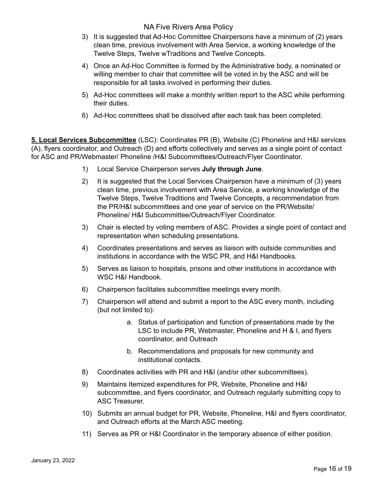- 3) It is suggested that Ad-Hoc Committee Chairpersons have a minimum of (2) years clean time, previous involvement with Area Service, a working knowledge of the Twelve Steps, Twelve wTraditions and Twelve Concepts.
- 4) Once an Ad-Hoc Committee is formed by the Administrative body, a nominated or willing member to chair that committee will be voted in by the ASC and will be responsible for all tasks involved in performing their duties.
- 5) Ad-Hoc committees will make a monthly written report to the ASC while performing their duties.
- 6) Ad-Hoc committees shall be dissolved after each task has been completed.

**5. Local Services Subcommittee** (LSC): Coordinates PR (B), Website (C) Phoneline and H&I services (A), flyers coordinator, and Outreach (D) and efforts collectively and serves as a single point of contact for ASC and PR/Webmaster/ Phoneline /H&I Subcommittees/Outreach/Flyer Coordinator.

- 1) Local Service Chairperson serves **July through June**.
- 2) It is suggested that the Local Services Chairperson have a minimum of (3) years clean time, previous involvement with Area Service, a working knowledge of the Twelve Steps, Twelve Traditions and Twelve Concepts, a recommendation from the PR/H&I subcommittees and one year of service on the PR/Website/ Phoneline/ H&I Subcommittee/Outreach/Flyer Coordinator.
- 3) Chair is elected by voting members of ASC. Provides a single point of contact and representation when scheduling presentations.
- 4) Coordinates presentations and serves as liaison with outside communities and institutions in accordance with the WSC PR, and H&I Handbooks.
- 5) Serves as liaison to hospitals, prisons and other institutions in accordance with WSC H&I Handbook.
- 6) Chairperson facilitates subcommittee meetings every month.
- 7) Chairperson will attend and submit a report to the ASC every month, including (but not limited to):
	- a. Status of participation and function of presentations made by the LSC to include PR, Webmaster, Phoneline and H & I, and flyers coordinator, and Outreach
	- b. Recommendations and proposals for new community and institutional contacts.
- 8) Coordinates activities with PR and H&I (and/or other subcommittees).
- 9) Maintains Itemized expenditures for PR, Website, Phoneline and H&I subcommittee, and flyers coordinator, and Outreach regularly submitting copy to ASC Treasurer.
- 10) Submits an annual budget for PR, Website, Phoneline, H&I and flyers coordinator, and Outreach efforts at the March ASC meeting.
- 11) Serves as PR or H&I Coordinator in the temporary absence of either position.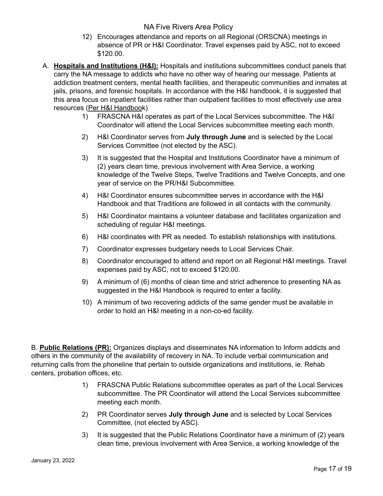- 12) Encourages attendance and reports on all Regional (ORSCNA) meetings in absence of PR or H&I Coordinator. Travel expenses paid by ASC, not to exceed \$120.00.
- A. **Hospitals and Institutions (H&I):** Hospitals and institutions subcommittees conduct panels that carry the NA message to addicts who have no other way of hearing our message. Patients at addiction treatment centers, mental health facilities, and therapeutic communities and inmates at jails, prisons, and forensic hospitals. In accordance with the H&I handbook, it is suggested that this area focus on inpatient facilities rather than outpatient facilities to most effectively use area resources (Per H&I [Handboo](https://www.na.org/admin/include/spaw2/uploads/pdf/handbooks/H&I%20Handbook.pdf)k)
	- 1) FRASCNA H&I operates as part of the Local Services subcommittee. The H&I Coordinator will attend the Local Services subcommittee meeting each month.
	- 2) H&I Coordinator serves from **July through June** and is selected by the Local Services Committee (not elected by the ASC).
	- 3) It is suggested that the Hospital and Institutions Coordinator have a minimum of (2) years clean time, previous involvement with Area Service, a working knowledge of the Twelve Steps, Twelve Traditions and Twelve Concepts, and one year of service on the PR/H&I Subcommittee.
	- 4) H&I Coordinator ensures subcommittee serves in accordance with the H&I Handbook and that Traditions are followed in all contacts with the community.
	- 5) H&I Coordinator maintains a volunteer database and facilitates organization and scheduling of regular H&I meetings.
	- 6) H&I coordinates with PR as needed. To establish relationships with institutions.
	- 7) Coordinator expresses budgetary needs to Local Services Chair.
	- 8) Coordinator encouraged to attend and report on all Regional H&I meetings. Travel expenses paid by ASC, not to exceed \$120.00.
	- 9) A minimum of (6) months of clean time and strict adherence to presenting NA as suggested in the H&I Handbook is required to enter a facility.
	- 10) A minimum of two recovering addicts of the same gender must be available in order to hold an H&I meeting in a non-co-ed facility.

B. **Public Relations (PR):** Organizes displays and disseminates NA information to Inform addicts and others in the community of the availability of recovery in NA. To include verbal communication and returning calls from the phoneline that pertain to outside organizations and institutions, ie. Rehab centers, probation offices, etc.

- 1) FRASCNA Public Relations subcommittee operates as part of the Local Services subcommittee. The PR Coordinator will attend the Local Services subcommittee meeting each month.
- 2) PR Coordinator serves **July through June** and is selected by Local Services Committee, (not elected by ASC).
- 3) It is suggested that the Public Relations Coordinator have a minimum of (2) years clean time, previous involvement with Area Service, a working knowledge of the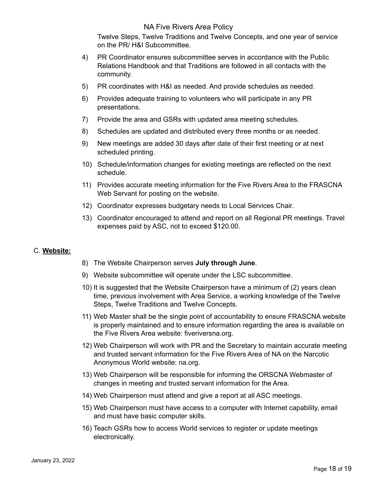Twelve Steps, Twelve Traditions and Twelve Concepts, and one year of service on the PR/ H&I Subcommittee.

- 4) PR Coordinator ensures subcommittee serves in accordance with the Public Relations Handbook and that Traditions are followed in all contacts with the community.
- 5) PR coordinates with H&I as needed. And provide schedules as needed.
- 6) Provides adequate training to volunteers who will participate in any PR presentations.
- 7) Provide the area and GSRs with updated area meeting schedules.
- 8) Schedules are updated and distributed every three months or as needed.
- 9) New meetings are added 30 days after date of their first meeting or at next scheduled printing.
- 10) Schedule/information changes for existing meetings are reflected on the next schedule.
- 11) Provides accurate meeting information for the Five Rivers Area to the FRASCNA Web Servant for posting on the website.
- 12) Coordinator expresses budgetary needs to Local Services Chair.
- 13) Coordinator encouraged to attend and report on all Regional PR meetings. Travel expenses paid by ASC, not to exceed \$120.00.

#### C. **Website:**

- 8) The Website Chairperson serves **July through June**.
- 9) Website subcommittee will operate under the LSC subcommittee.
- 10) It is suggested that the Website Chairperson have a minimum of (2) years clean time, previous involvement with Area Service, a working knowledge of the Twelve Steps, Twelve Traditions and Twelve Concepts.
- 11) Web Master shall be the single point of accountability to ensure FRASCNA website is properly maintained and to ensure information regarding the area is available on the Five Rivers Area website: fiveriversna.org.
- 12) Web Chairperson will work with PR and the Secretary to maintain accurate meeting and trusted servant information for the Five Rivers Area of NA on the Narcotic Anonymous World website: na.org.
- 13) Web Chairperson will be responsible for informing the ORSCNA Webmaster of changes in meeting and trusted servant information for the Area.
- 14) Web Chairperson must attend and give a report at all ASC meetings.
- 15) Web Chairperson must have access to a computer with Internet capability, email and must have basic computer skills.
- 16) Teach GSRs how to access World services to register or update meetings electronically.